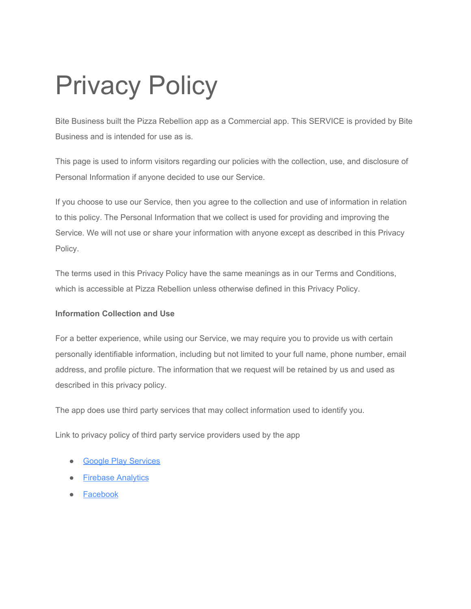# Privacy Policy

Bite Business built the Pizza Rebellion app as a Commercial app. This SERVICE is provided by Bite Business and is intended for use as is.

This page is used to inform visitors regarding our policies with the collection, use, and disclosure of Personal Information if anyone decided to use our Service.

If you choose to use our Service, then you agree to the collection and use of information in relation to this policy. The Personal Information that we collect is used for providing and improving the Service. We will not use or share your information with anyone except as described in this Privacy Policy.

The terms used in this Privacy Policy have the same meanings as in our Terms and Conditions, which is accessible at Pizza Rebellion unless otherwise defined in this Privacy Policy.

## **Information Collection and Use**

For a better experience, while using our Service, we may require you to provide us with certain personally identifiable information, including but not limited to your full name, phone number, email address, and profile picture. The information that we request will be retained by us and used as described in this privacy policy.

The app does use third party services that may collect information used to identify you.

Link to privacy policy of third party service providers used by the app

- [Google Play Services](https://www.google.com/policies/privacy/)
- [Firebase Analytics](https://firebase.google.com/policies/analytics)
- [Facebook](https://www.facebook.com/about/privacy)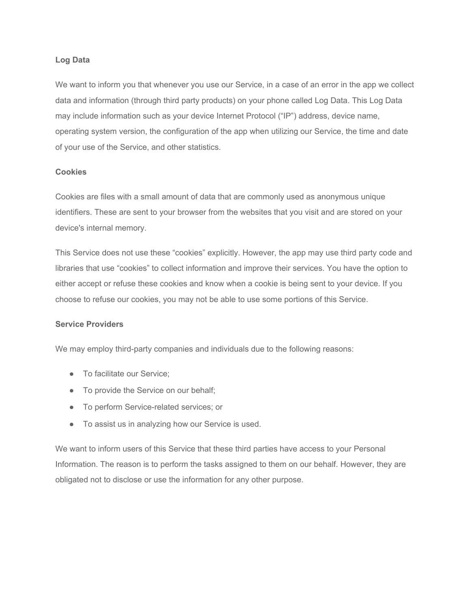#### **Log Data**

We want to inform you that whenever you use our Service, in a case of an error in the app we collect data and information (through third party products) on your phone called Log Data. This Log Data may include information such as your device Internet Protocol ("IP") address, device name, operating system version, the configuration of the app when utilizing our Service, the time and date of your use of the Service, and other statistics.

#### **Cookies**

Cookies are files with a small amount of data that are commonly used as anonymous unique identifiers. These are sent to your browser from the websites that you visit and are stored on your device's internal memory.

This Service does not use these "cookies" explicitly. However, the app may use third party code and libraries that use "cookies" to collect information and improve their services. You have the option to either accept or refuse these cookies and know when a cookie is being sent to your device. If you choose to refuse our cookies, you may not be able to use some portions of this Service.

#### **Service Providers**

We may employ third-party companies and individuals due to the following reasons:

- To facilitate our Service:
- To provide the Service on our behalf;
- To perform Service-related services; or
- To assist us in analyzing how our Service is used.

We want to inform users of this Service that these third parties have access to your Personal Information. The reason is to perform the tasks assigned to them on our behalf. However, they are obligated not to disclose or use the information for any other purpose.